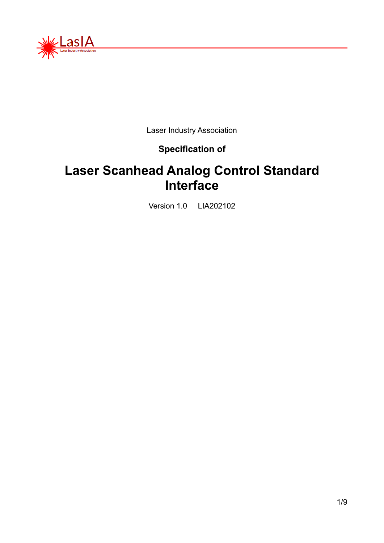

Laser Industry Association

#### **Specification of**

## **Laser Scanhead Analog Control Standard Interface**

Version 1.0 LIA202102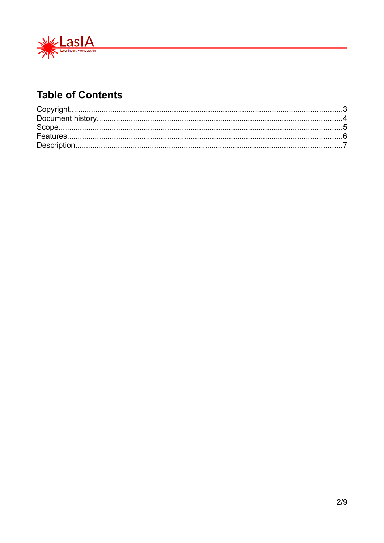

### **Table of Contents**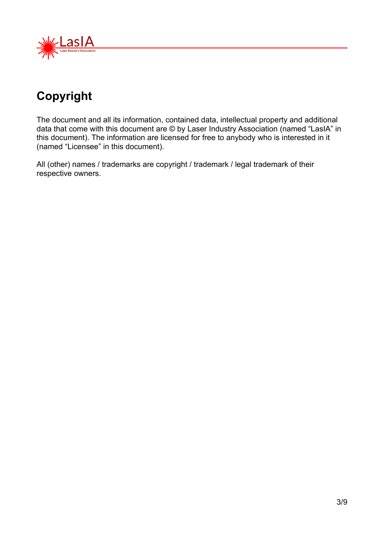

# <span id="page-2-0"></span>**Copyright**

The document and all its information, contained data, intellectual property and additional data that come with this document are © by Laser Industry Association (named "LasIA" in this document). The information are licensed for free to anybody who is interested in it (named "Licensee" in this document).

All (other) names / trademarks are copyright / trademark / legal trademark of their respective owners.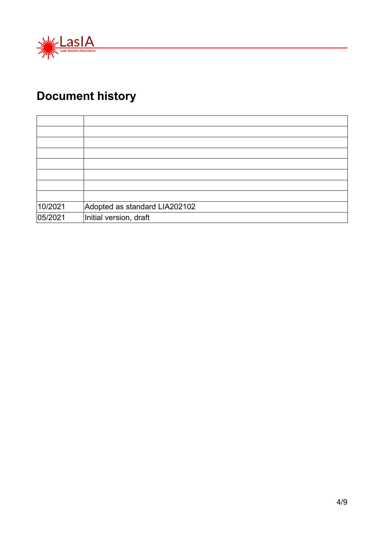

# <span id="page-3-0"></span>**Document history**

| 10/2021 | Adopted as standard LIA202102 |
|---------|-------------------------------|
| 05/2021 | Initial version, draft        |

<u> 1980 - Johann Barbara, martx</u>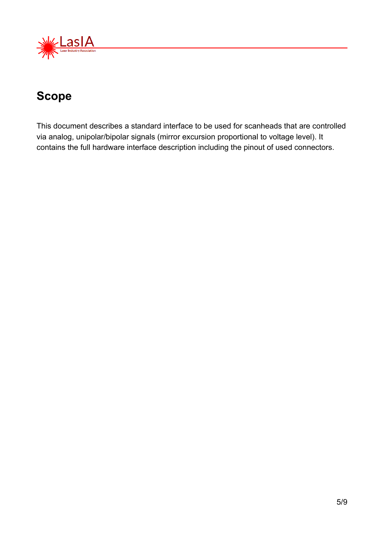

### <span id="page-4-0"></span>**Scope**

This document describes a standard interface to be used for scanheads that are controlled via analog, unipolar/bipolar signals (mirror excursion proportional to voltage level). It contains the full hardware interface description including the pinout of used connectors.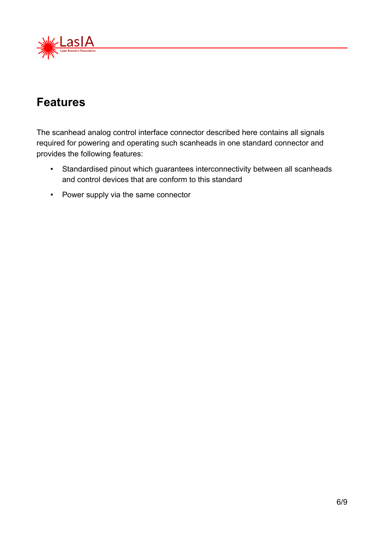

### <span id="page-5-0"></span>**Features**

The scanhead analog control interface connector described here contains all signals required for powering and operating such scanheads in one standard connector and provides the following features:

- Standardised pinout which guarantees interconnectivity between all scanheads and control devices that are conform to this standard
- Power supply via the same connector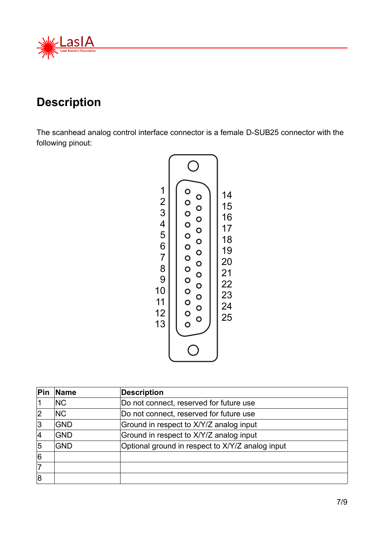

### <span id="page-6-0"></span>**Description**

The scanhead analog control interface connector is a female D-SUB25 connector with the following pinout:



| Pin | <b>Name</b> | <b>Description</b>                               |
|-----|-------------|--------------------------------------------------|
|     | <b>NC</b>   | Do not connect, reserved for future use          |
| 2   | <b>NC</b>   | Do not connect, reserved for future use          |
| 3   | <b>GND</b>  | Ground in respect to X/Y/Z analog input          |
| 4   | <b>GND</b>  | Ground in respect to X/Y/Z analog input          |
| 5   | <b>GND</b>  | Optional ground in respect to X/Y/Z analog input |
| 6   |             |                                                  |
| 17  |             |                                                  |
| 8   |             |                                                  |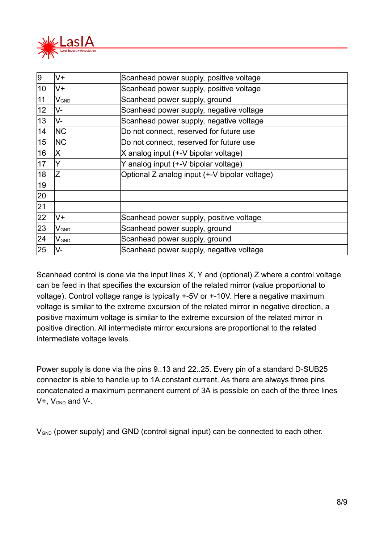

| 9  | V+                          | Scanhead power supply, positive voltage       |
|----|-----------------------------|-----------------------------------------------|
| 10 | V+                          | Scanhead power supply, positive voltage       |
| 11 | $\mathsf{V}_{\mathsf{GND}}$ | Scanhead power supply, ground                 |
| 12 | V-                          | Scanhead power supply, negative voltage       |
| 13 | V-                          | Scanhead power supply, negative voltage       |
| 14 | <b>NC</b>                   | Do not connect, reserved for future use       |
| 15 | <b>NC</b>                   | Do not connect, reserved for future use       |
| 16 | X                           | X analog input (+-V bipolar voltage)          |
| 17 | Y                           | Y analog input (+-V bipolar voltage)          |
| 18 | Ζ                           | Optional Z analog input (+-V bipolar voltage) |
| 19 |                             |                                               |
| 20 |                             |                                               |
| 21 |                             |                                               |
| 22 | V+                          | Scanhead power supply, positive voltage       |
| 23 | $V_{GND}$                   | Scanhead power supply, ground                 |
| 24 | $\mathsf{V}_{\mathsf{GND}}$ | Scanhead power supply, ground                 |
| 25 | V-                          | Scanhead power supply, negative voltage       |

Scanhead control is done via the input lines X, Y and (optional) Z where a control voltage can be feed in that specifies the excursion of the related mirror (value proportional to voltage). Control voltage range is typically +-5V or +-10V. Here a negative maximum voltage is similar to the extreme excursion of the related mirror in negative direction, a positive maximum voltage is similar to the extreme excursion of the related mirror in positive direction. All intermediate mirror excursions are proportional to the related intermediate voltage levels.

Power supply is done via the pins 9..13 and 22..25. Every pin of a standard D-SUB25 connector is able to handle up to 1A constant current. As there are always three pins concatenated a maximum permanent current of 3A is possible on each of the three lines  $V+$ ,  $V<sub>GND</sub>$  and  $V-$ .

V<sub>GND</sub> (power supply) and GND (control signal input) can be connected to each other.